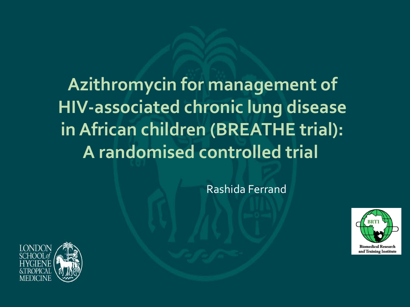**Azithromycin for management of HIV-associated chronic lung disease in African children (BREATHE trial): A randomised controlled trial**

Rashida Ferrand



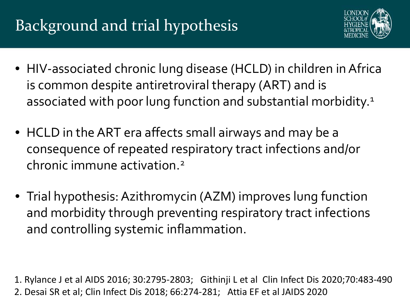# Background and trial hypothesis



- HIV-associated chronic lung disease (HCLD) in children in Africa is common despite antiretroviral therapy (ART) and is associated with poor lung function and substantial morbidity.<sup>1</sup>
- HCLD in the ART era affects small airways and may be a consequence of repeated respiratory tract infections and/or chronic immune activation.2
- Trial hypothesis: Azithromycin (AZM) improves lung function and morbidity through preventing respiratory tract infections and controlling systemic inflammation.

1. Rylance J et al AIDS 2016; 30:2795-2803; Githinji L et al Clin Infect Dis 2020;70:483-490 2. Desai SR et al; Clin Infect Dis 2018; 66:274-281; Attia EF et al JAIDS 2020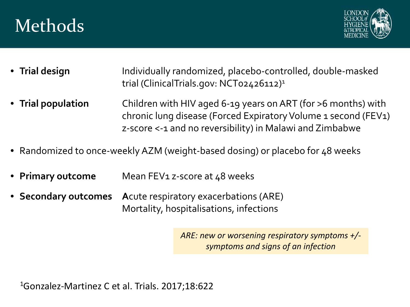# Methods



- **Trial design** Individually randomized, placebo-controlled, double-masked trial (ClinicalTrials.gov: NCT02426112)1
- **Trial population** Children with HIV aged 6-19 years on ART (for >6 months) with chronic lung disease (Forced Expiratory Volume 1 second (FEV1) z-score <-1 and no reversibility) in Malawi and Zimbabwe
- Randomized to once-weekly AZM (weight-based dosing) or placebo for 48 weeks
- **Primary outcome** Mean FEV<sub>1</sub> z-score at 48 weeks
- **Secondary outcomes** Acute respiratory exacerbations (ARE) Mortality, hospitalisations, infections

*ARE: new or worsening respiratory symptoms +/ symptoms and signs of an infection*

1Gonzalez-Martinez C et al. Trials. 2017;18:622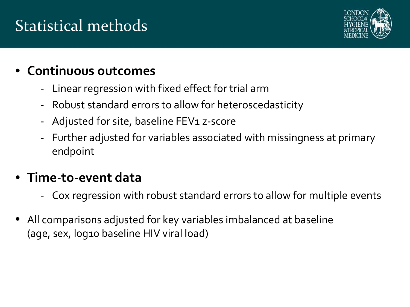# Statistical methods



### • **Continuous outcomes**

- Linear regression with fixed effect for trial arm
- Robust standard errors to allow for heteroscedasticity
- Adjusted for site, baseline FEV1 z-score
- Further adjusted for variables associated with missingness at primary endpoint

### • **Time-to-event data**

- Cox regression with robust standard errors to allow for multiple events
- All comparisons adjusted for key variables imbalanced at baseline (age, sex, log10 baseline HIV viral load)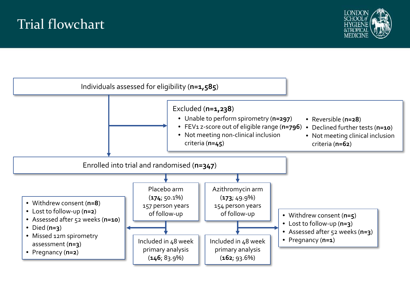### Trial flowchart



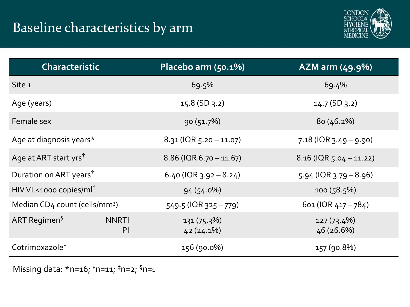

| <b>Characteristic</b>                     |                                | Placebo arm (50.1%)          | AZM arm (49.9%)              |  |
|-------------------------------------------|--------------------------------|------------------------------|------------------------------|--|
| Site 1                                    |                                | 69.5%                        | 69.4%                        |  |
| Age (years)                               |                                | $15.8$ (SD 3.2)              | $14.7$ (SD 3.2)              |  |
| Female sex                                |                                | 90(51.7%)                    | 80(46.2%)                    |  |
| Age at diagnosis years*                   |                                | $8.31$ (IQR 5.20 - 11.07)    | $7.18$ (IQR 3.49 – 9.90)     |  |
| Age at ART start yrs <sup>†</sup>         |                                | $8.86$ (IQR $6.70 - 11.67$ ) | $8.16$ (IQR $5.04 - 11.22$ ) |  |
| Duration on ART years <sup>†</sup>        |                                | 6.40 ( $ QR_3.92 - 8.24$ )   | $5.94$ (IQR $3.79 - 8.96$ )  |  |
| HIV VL<1000 copies/ml <sup>‡</sup>        |                                | $94(54.0\%)$                 | 100(58.5%)                   |  |
| Median CD4 count (cells/mm <sup>3</sup> ) |                                | $549.5$ (IQR $325 - 779$ )   | 601 (IQR $417 - 784$ )       |  |
| ART Regimen <sup>§</sup>                  | <b>NNRTI</b><br>P <sub>1</sub> | 131(75.3%)<br>$42(24.1\%)$   | $127(73.4\%)$<br>46 (26.6%)  |  |
| Cotrimoxazole <sup>#</sup>                |                                | 156 (90.0%)                  | 157 (90.8%)                  |  |

Missing data: \*n=16; **†**n=11; **‡**n=2; §n=1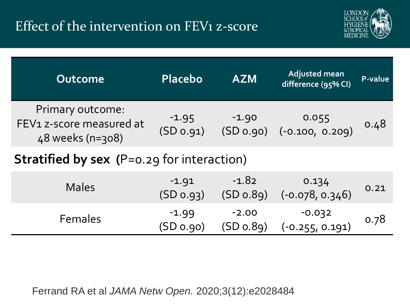## Effect of the intervention on FEV1 z-score



| <b>Outcome</b>                                                   | <b>Placebo</b>       | <b>AZM</b>           | <b>Adjusted mean</b><br>difference (95% CI) | P-value |
|------------------------------------------------------------------|----------------------|----------------------|---------------------------------------------|---------|
| Primary outcome:<br>FEV1 z-score measured at<br>48 weeks (n=308) | $-1.95$<br>(SD 0.91) | $-1.90$<br>(SD 0.90) | $0.055$<br>(-0.100, 0.209)                  | 0.48    |
| <b>Stratified by sex (P=0.29 for interaction)</b>                |                      |                      |                                             |         |
|                                                                  | $-1$ $\cap$ 1        | -1 X 2               | $\bigcap$ 1つ/                               |         |

| <b>Males</b>   | $-1.91$<br>$(SD_0, 93)$ | $-1.82$<br>$(SD_0.89)$ | 0.134<br>$(-0.078, 0.346)$    | 0.21 |
|----------------|-------------------------|------------------------|-------------------------------|------|
| <b>Females</b> | $-1.99$<br>$(SD_0.90)$  | $-2.00$<br>$(SD_0.89)$ | $-0.032$<br>$(-0.255, 0.191)$ | 0.78 |

Ferrand RA et al *JAMA Netw Open.* 2020;3(12):e2028484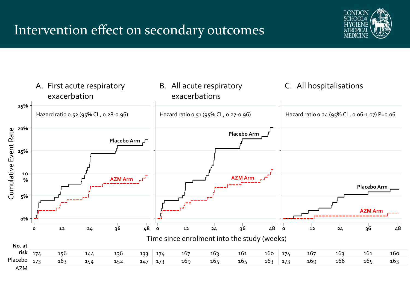

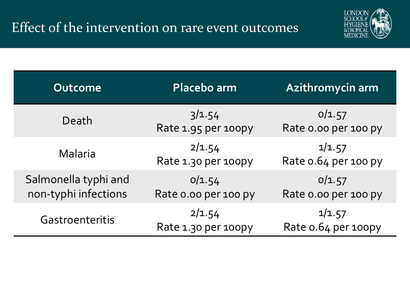

| Outcome                                      | Placebo arm                    | Azithromycin arm               |  |
|----------------------------------------------|--------------------------------|--------------------------------|--|
| Death                                        | 3/1.54<br>Rate 1.95 per 100py  | 0/1.57<br>Rate o.oo per 100 py |  |
| Malaria                                      | 2/1.54<br>Rate 1.30 per 100py  | 1/1.57<br>Rate 0.64 per 100 py |  |
| Salmonella typhi and<br>non-typhi infections | 0/1.54<br>Rate o.oo per 100 py | 0/1.57<br>Rate o.oo per 100 py |  |
| Gastroenteritis                              | 2/1.54<br>Rate 1.30 per 100py  | 1/1.57<br>Rate o.64 per 100py  |  |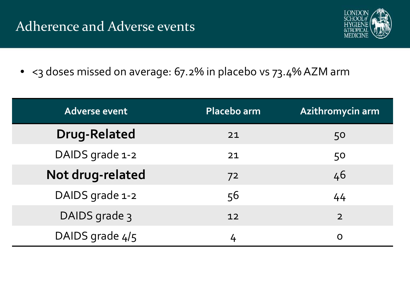

• < 3 doses missed on average: 67.2% in placebo vs 73.4% AZM arm

| Adverse event       | Placebo arm | Azithromycin arm |
|---------------------|-------------|------------------|
| <b>Drug-Related</b> | 21          | 50               |
| DAIDS grade 1-2     | 21          | 50               |
| Not drug-related    | 72          | 46               |
| DAIDS grade 1-2     | 56          | 44               |
| DAIDS grade 3       | 12          | $\overline{2}$   |
| DAIDS grade 4/5     |             | O                |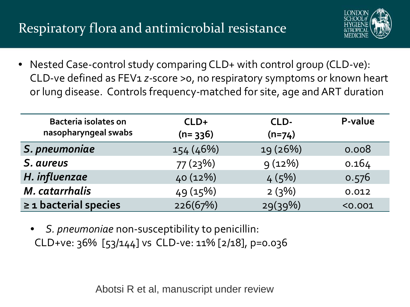## Respiratory flora and antimicrobial resistance



• Nested Case-control study comparing CLD+ with control group (CLD-ve): CLD-ve defined as FEV1 *z-*score >0, no respiratory symptoms or known heart or lung disease. Controls frequency-matched for site, age and ART duration

| <b>Bacteria isolates on</b><br>nasopharyngeal swabs | $CLD+$<br>$(n=336)$ | CLD-<br>$(n=74)$ | P-value |
|-----------------------------------------------------|---------------------|------------------|---------|
| S. pneumoniae                                       | 154 (46%)           | 19 (26%)         | 0.008   |
| S. aureus                                           | 77(23%)             | 9(12%)           | 0.164   |
| H. influenzae                                       | 40(12%)             | 4(5%)            | 0.576   |
| M. catarrhalis                                      | 49(15%)             | 2(3%)            | 0.012   |
| $\geq$ 1 bacterial species                          | 226(67%)            | 29(39%)          | < 0.001 |

• *S. pneumoniae* non-susceptibility to penicillin: CLD+ve: 36% [53/144] vs CLD-ve: 11% [2/18], p=0.036

Abotsi R et al, manuscript under review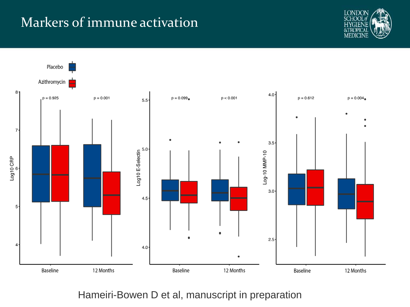### Markers of immune activation





Hameiri-Bowen D et al, manuscript in preparation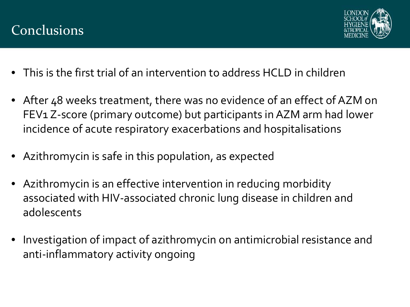



- This is the first trial of an intervention to address HCLD in children
- After 48 weeks treatment, there was no evidence of an effect of AZM on FEV1 Z-score (primary outcome) but participants in AZM arm had lower incidence of acute respiratory exacerbations and hospitalisations
- Azithromycin is safe in this population, as expected
- Azithromycin is an effective intervention in reducing morbidity associated with HIV-associated chronic lung disease in children and adolescents
- Investigation of impact of azithromycin on antimicrobial resistance and anti-inflammatory activity ongoing